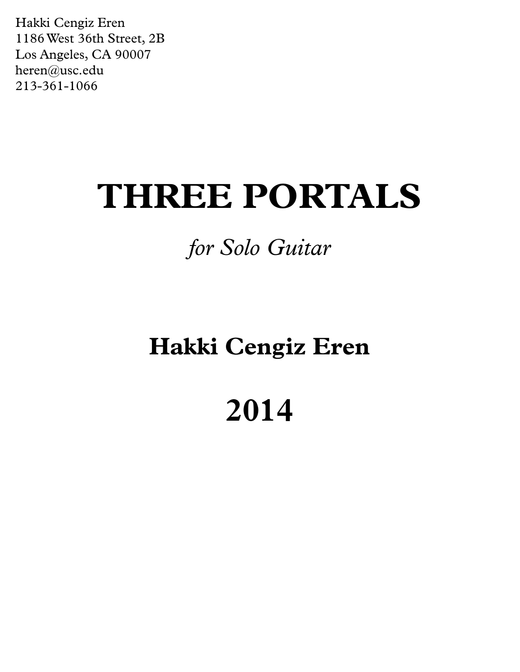Hakki Cengiz Eren 1186West 36th Street, 2B Los Angeles, CA 90007 heren@usc.edu 213-361-1066

# **THREE PORTALS**

### *for Solo Guitar*

## **Hakki Cengiz Eren**

## **2014**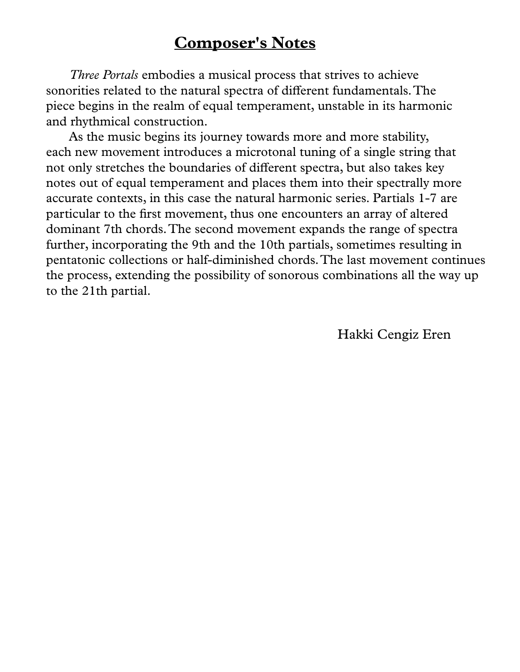#### **Composer's Notes**

*Three Portals* embodies a musical process that strives to achieve sonorities related to the natural spectra of different fundamentals. The piece begins in the realm of equal temperament, unstable in its harmonic and rhythmical construction.

As the music begins its journey towards more and more stability, each new movement introduces a microtonal tuning of a single string that not only stretches the boundaries of different spectra, but also takes key notes out of equal temperament and places them into their spectrally more accurate contexts, in this case the natural harmonic series. Partials 1-7 are particular to the first movement, thus one encounters an array of altered dominant 7th chords.The second movement expands the range of spectra further, incorporating the 9th and the 10th partials, sometimes resulting in pentatonic collections or half-diminished chords.The last movement continues the process, extending the possibility of sonorous combinations all the way up to the 21th partial.

Hakki Cengiz Eren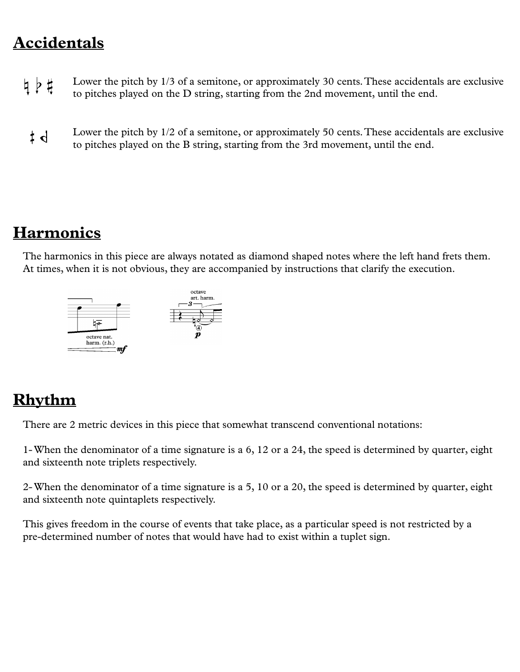#### **Accidentals**

- Lower the pitch by 1/3 of a semitone, or approximately 30 cents.These accidentals are exclusive þ りも to pitches played on the D string, starting from the 2nd movement, until the end.
	- Lower the pitch by 1/2 of a semitone, or approximately 50 cents.These accidentals are exclusive  $\sharp$  d to pitches played on the B string, starting from the 3rd movement, until the end.

#### **Harmonics**

The harmonics in this piece are always notated as diamond shaped notes where the left hand frets them. At times, when it is not obvious, they are accompanied by instructions that clarify the execution.



#### **Rhythm**

There are 2 metric devices in this piece that somewhat transcend conventional notations:

1-When the denominator of a time signature is a 6, 12 or a 24, the speed is determined by quarter, eight and sixteenth note triplets respectively.

2-When the denominator of a time signature is a 5, 10 or a 20, the speed is determined by quarter, eight and sixteenth note quintaplets respectively.

This gives freedom in the course of events that take place, as a particular speed is not restricted by a pre-determined number of notes that would have had to exist within a tuplet sign.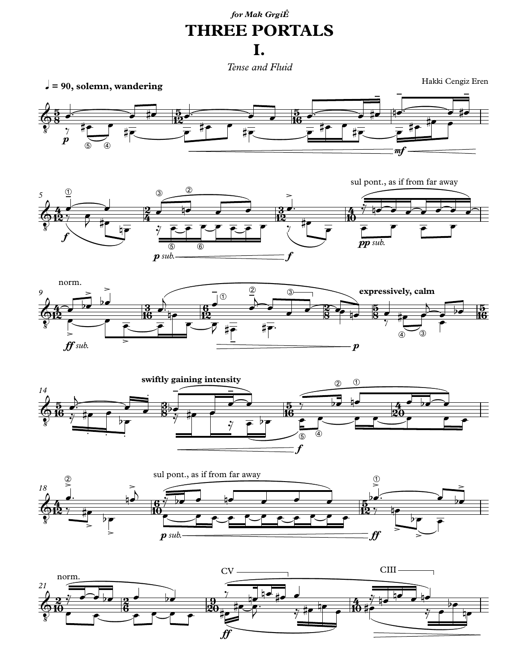#### for Mak GrgiÊ **THREE PORTALS** I.

Tense and Fluid

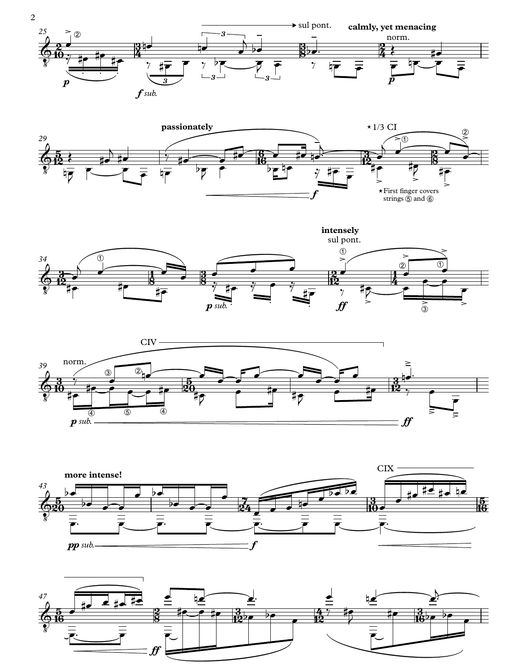









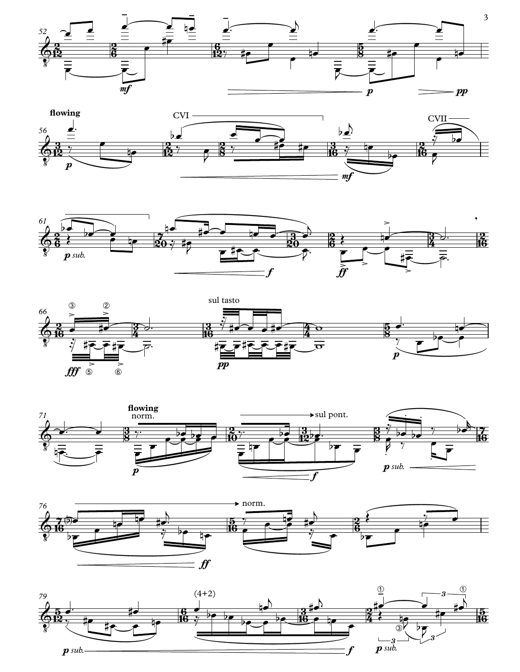











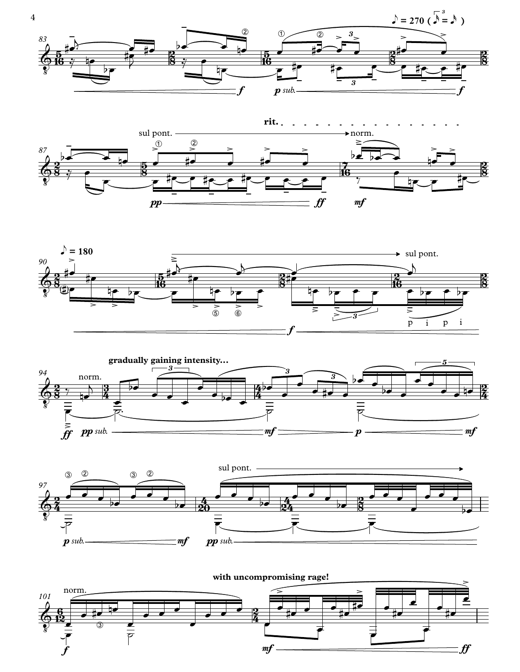









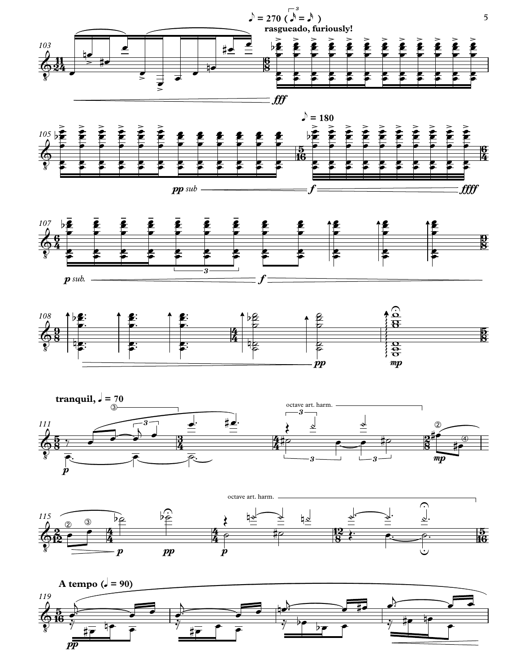











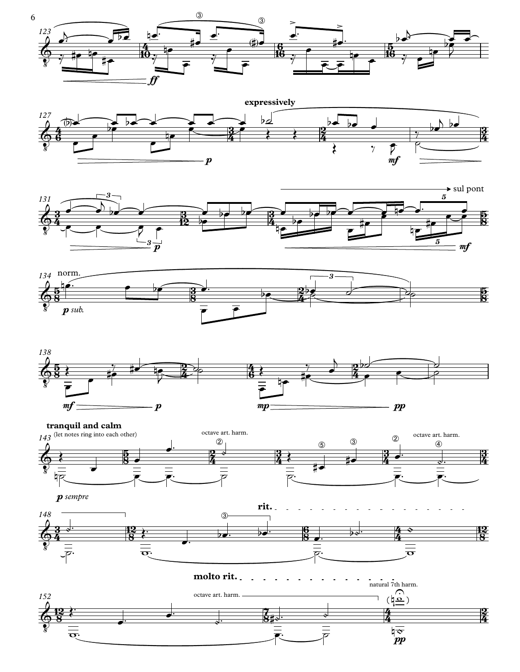















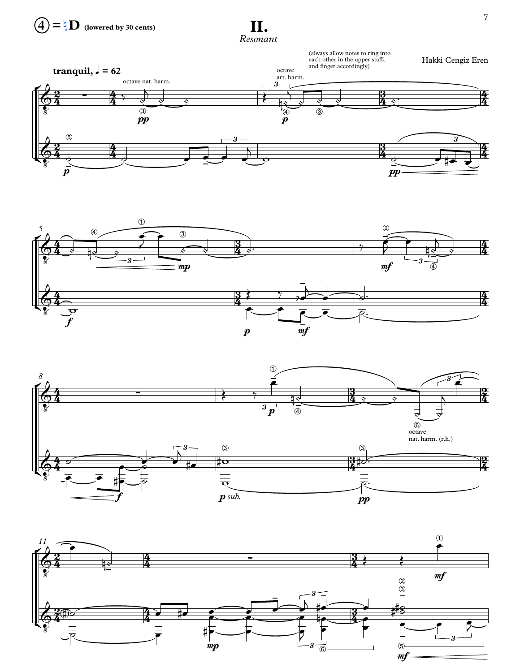









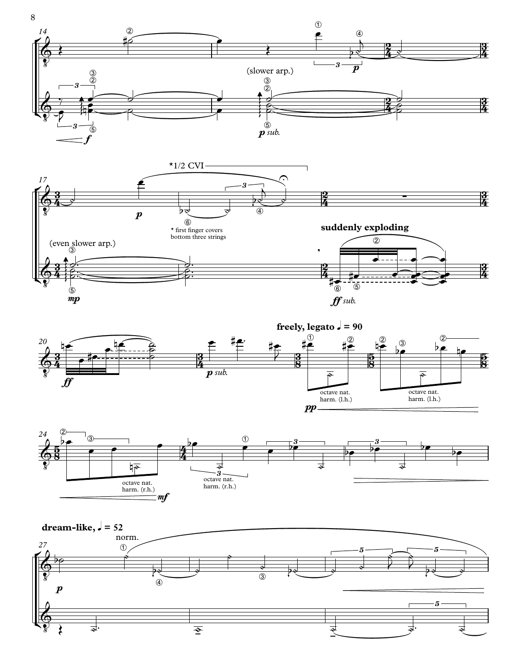

 $\,8\,$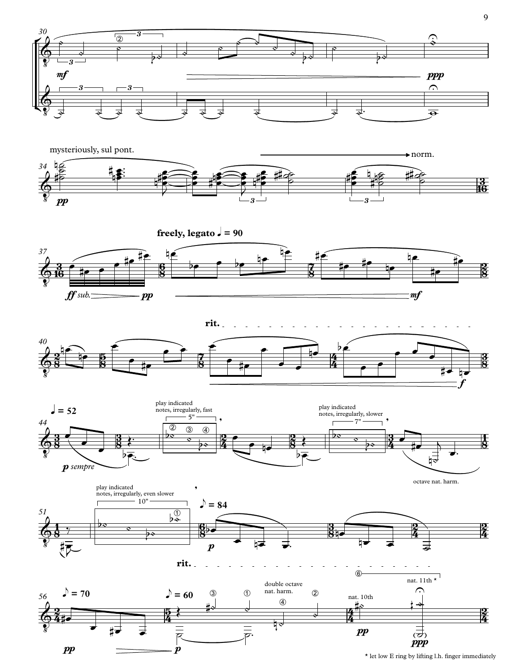

 $\star$  let low E ring by lifting l.h. finger immediately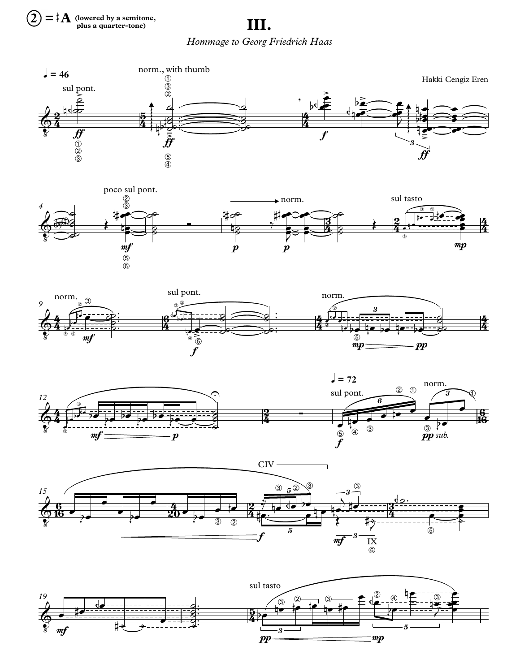**III.** *Hommage to Georg Friedrich Haas*











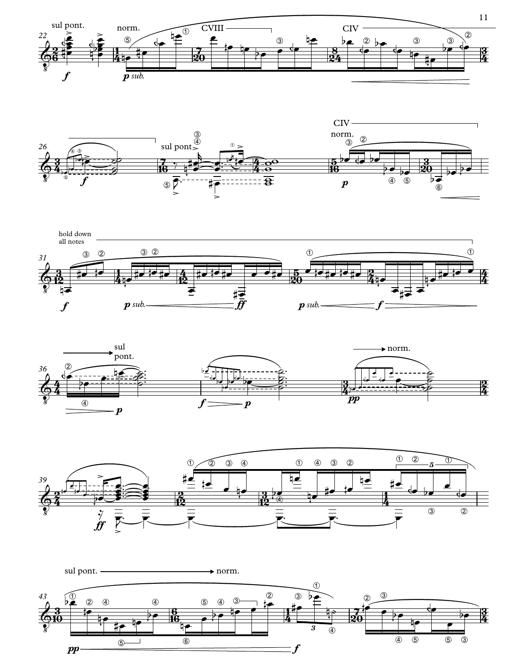









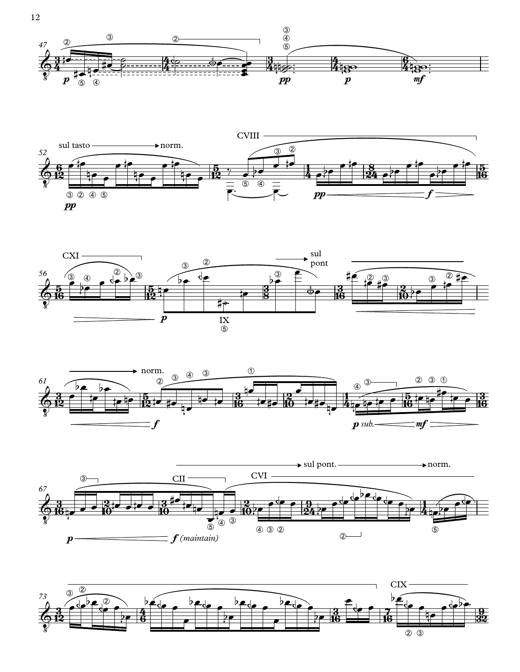